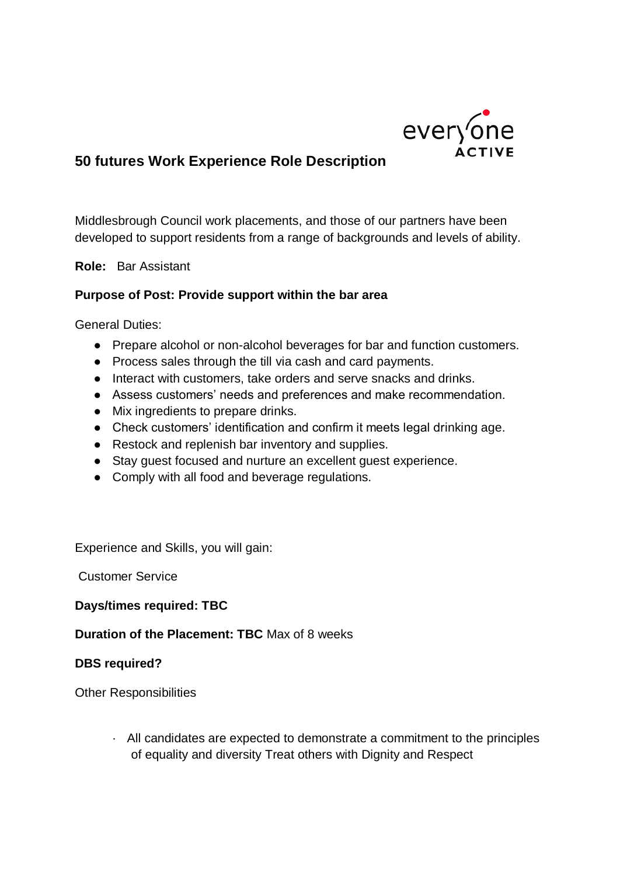

## **50 futures Work Experience Role Description**

Middlesbrough Council work placements, and those of our partners have been developed to support residents from a range of backgrounds and levels of ability.

**Role:** Bar Assistant

## **Purpose of Post: Provide support within the bar area**

General Duties:

- Prepare alcohol or non-alcohol beverages for bar and function customers.
- Process sales through the till via cash and card payments.
- Interact with customers, take orders and serve snacks and drinks.
- Assess customers' needs and preferences and make recommendation.
- Mix ingredients to prepare drinks.
- Check customers' identification and confirm it meets legal drinking age.
- Restock and replenish bar inventory and supplies.
- Stay guest focused and nurture an excellent guest experience.
- Comply with all food and beverage regulations.

Experience and Skills, you will gain:

Customer Service

**Days/times required: TBC** 

**Duration of the Placement: TBC** Max of 8 weeks

## **DBS required?**

Other Responsibilities

· All candidates are expected to demonstrate a commitment to the principles of equality and diversity Treat others with Dignity and Respect